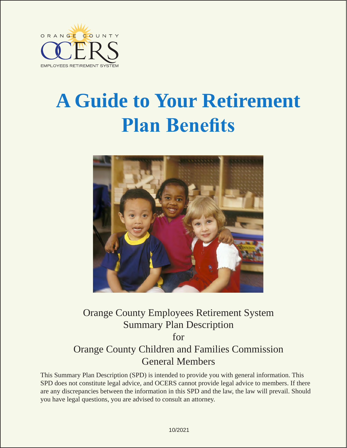

# **A Guide to Your Retirement Plan Benefits**



## Orange County Employees Retirement System Summary Plan Description for Orange County Children and Families Commission General Members

This Summary Plan Description (SPD) is intended to provide you with general information. This SPD does not constitute legal advice, and OCERS cannot provide legal advice to members. If there are any discrepancies between the information in this SPD and the law, the law will prevail. Should you have legal questions, you are advised to consult an attorney.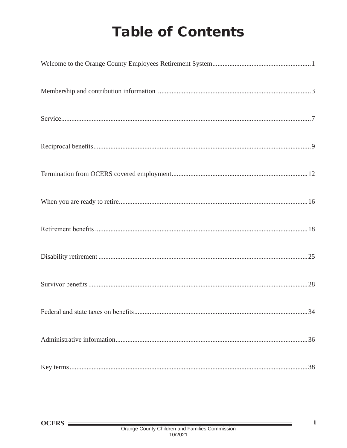## **Table of Contents**

 $=$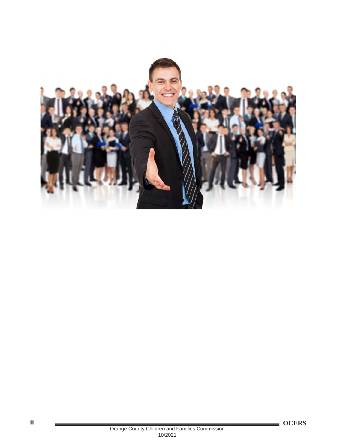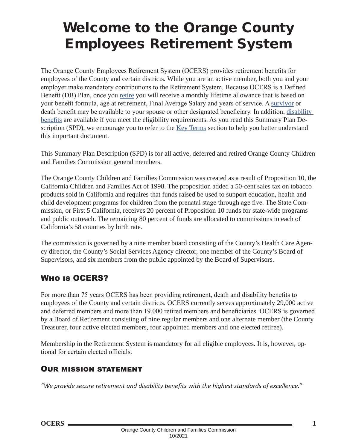## Welcome to the Orange County Employees Retirement System

The Orange County Employees Retirement System (OCERS) provides retirement benefits for employees of the County and certain districts. While you are an active member, both you and your employer make mandatory contributions to the Retirement System. Because OCERS is a Defined Benefit (DB) Plan, once you [retire](#page-20-0) you will receive a monthly lifetime allowance that is based on your benefit formula, age at retirement, Final Average Salary and years of service. A [survivor](#page-30-0) or death benefit may be available to your spouse or other designated beneficiary. In addition, disability [benefits](#page-27-0) are available if you meet the eligibility requirements. As you read this Summary Plan Description (SPD), we encourage you to refer to the [Key Terms](#page-40-0) section to help you better understand this important document.

This Summary Plan Description (SPD) is for all active, deferred and retired Orange County Children and Families Commission general members.

The Orange County Children and Families Commission was created as a result of Proposition 10, the California Children and Families Act of 1998. The proposition added a 50-cent sales tax on tobacco products sold in California and requires that funds raised be used to support education, health and child development programs for children from the prenatal stage through age five. The State Commission, or First 5 California, receives 20 percent of Proposition 10 funds for state-wide programs and public outreach. The remaining 80 percent of funds are allocated to commissions in each of California's 58 counties by birth rate.

The commission is governed by a nine member board consisting of the County's Health Care Agency director, the County's Social Services Agency director, one member of the County's Board of Supervisors, and six members from the public appointed by the Board of Supervisors.

## Who is OCERS?

For more than 75 years OCERS has been providing retirement, death and disability benefits to employees of the County and certain districts. OCERS currently serves approximately 29,000 active and deferred members and more than 19,000 retired members and beneficiaries. OCERS is governed by a Board of Retirement consisting of nine regular members and one alternate member (the County Treasurer, four active elected members, four appointed members and one elected retiree).

Membership in the Retirement System is mandatory for all eligible employees. It is, however, optional for certain elected officials.

#### Our mission statement

*"We provide secure retirement and disability benefits with the highest standards of excellence."*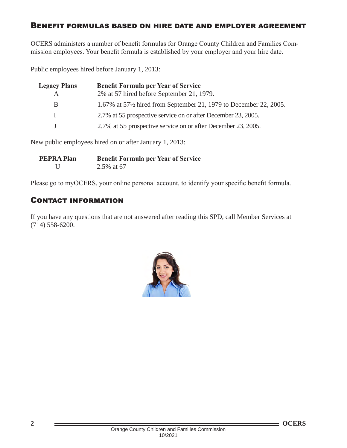#### Benefit formulas based on hire date and employer agreement

OCERS administers a number of benefit formulas for Orange County Children and Families Commission employees. Your benefit formula is established by your employer and your hire date.

Public employees hired before January 1, 2013:

| <b>Legacy Plans</b> | <b>Benefit Formula per Year of Service</b>                                   |
|---------------------|------------------------------------------------------------------------------|
| A                   | 2% at 57 hired before September 21, 1979.                                    |
| B                   | 1.67% at $57\frac{1}{2}$ hired from September 21, 1979 to December 22, 2005. |
| $\mathbf{I}$        | 2.7% at 55 prospective service on or after December 23, 2005.                |
| J.                  | 2.7% at 55 prospective service on or after December 23, 2005.                |

New public employees hired on or after January 1, 2013:

| <b>PEPRA Plan</b> | <b>Benefit Formula per Year of Service</b> |
|-------------------|--------------------------------------------|
|                   | 2.5% at 67                                 |

Please go to myOCERS, your online personal account, to identify your specific benefit formula.

#### Contact information

If you have any questions that are not answered after reading this SPD, call Member Services at (714) 558-6200.

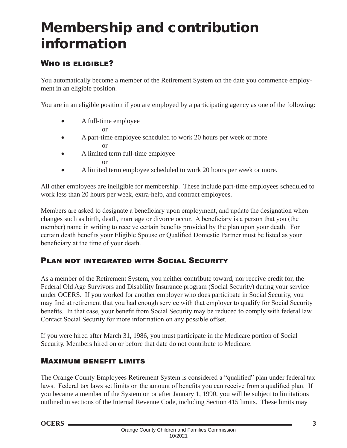## Membership and contribution information

## WHO IS ELIGIBLE?

You automatically become a member of the Retirement System on the date you commence employment in an eligible position.

You are in an eligible position if you are employed by a participating agency as one of the following:

- A full-time employee
	- or
- A part-time employee scheduled to work 20 hours per week or more or
- A limited term full-time employee
	- or
- A limited term employee scheduled to work 20 hours per week or more.

All other employees are ineligible for membership. These include part-time employees scheduled to work less than 20 hours per week, extra-help, and contract employees.

Members are asked to designate a beneficiary upon employment, and update the designation when changes such as birth, death, marriage or divorce occur. A beneficiary is a person that you (the member) name in writing to receive certain benefits provided by the plan upon your death. For certain death benefits your Eligible Spouse or Qualified Domestic Partner must be listed as your beneficiary at the time of your death.

## Plan not integrated with Social Security

As a member of the Retirement System, you neither contribute toward, nor receive credit for, the Federal Old Age Survivors and Disability Insurance program (Social Security) during your service under OCERS. If you worked for another employer who does participate in Social Security, you may find at retirement that you had enough service with that employer to qualify for Social Security benefits. In that case, your benefit from Social Security may be reduced to comply with federal law. Contact Social Security for more information on any possible offset.

If you were hired after March 31, 1986, you must participate in the Medicare portion of Social Security. Members hired on or before that date do not contribute to Medicare.

#### Maximum benefit limits

The Orange County Employees Retirement System is considered a "qualified" plan under federal tax laws. Federal tax laws set limits on the amount of benefits you can receive from a qualified plan. If you became a member of the System on or after January 1, 1990, you will be subject to limitations outlined in sections of the Internal Revenue Code, including Section 415 limits. These limits may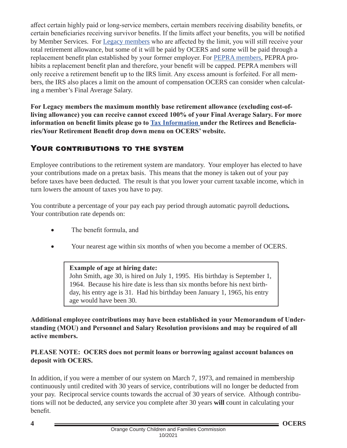affect certain highly paid or long-service members, certain members receiving disability benefits, or certain beneficiaries receiving survivor benefits. If the limits affect your benefits, you will be notified by Member Services. For [Legacy members](#page-41-0) who are affected by the limit, you will still receive your total retirement allowance, but some of it will be paid by OCERS and some will be paid through a replacement benefit plan established by your former employer. For [PEPRA members,](#page-41-0) PEPRA prohibits a replacement benefit plan and therefore, your benefit will be capped. PEPRA members will only receive a retirement benefit up to the IRS limit. Any excess amount is forfeited. For all members, the IRS also places a limit on the amount of compensation OCERS can consider when calculating a member's Final Average Salary.

**For Legacy members the maximum monthly base retirement allowance (excluding cost-ofliving allowance) you can receive cannot exceed 100% of your Final Average Salary. For more information on benefit limits please go to [Tax Information](https://www.ocers.org/tax-information) under the Retirees and Beneficiaries/Your Retirement Benefit drop down menu on OCERS' website.**

## YOUR CONTRIBUTIONS TO THE SYSTEM

Employee contributions to the retirement system are mandatory. Your employer has elected to have your contributions made on a pretax basis. This means that the money is taken out of your pay before taxes have been deducted. The result is that you lower your current taxable income, which in turn lowers the amount of taxes you have to pay.

You contribute a percentage of your pay each pay period through automatic payroll deductions*.* Your contribution rate depends on:

- The benefit formula, and
- Your nearest age within six months of when you become a member of OCERS.

#### **Example of age at hiring date:**

John Smith, age 30, is hired on July 1, 1995. His birthday is September 1, 1964. Because his hire date is less than six months before his next birthday, his entry age is 31. Had his birthday been January 1, 1965, his entry age would have been 30.

**Additional employee contributions may have been established in your Memorandum of Understanding (MOU) and Personnel and Salary Resolution provisions and may be required of all active members.**

#### **PLEASE NOTE: OCERS does not permit loans or borrowing against account balances on deposit with OCERS.**

In addition, if you were a member of our system on March 7, 1973, and remained in membership continuously until credited with 30 years of service, contributions will no longer be deducted from your pay. Reciprocal service counts towards the accrual of 30 years of service. Although contributions will not be deducted, any service you complete after 30 years **will** count in calculating your benefit.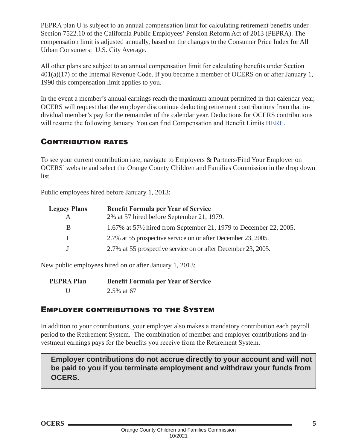PEPRA plan U is subject to an annual compensation limit for calculating retirement benefits under Section 7522.10 of the California Public Employees' Pension Reform Act of 2013 (PEPRA). The compensation limit is adjusted annually, based on the changes to the Consumer Price Index for All Urban Consumers: U.S. City Average.

All other plans are subject to an annual compensation limit for calculating benefits under Section 401(a)(17) of the Internal Revenue Code. If you became a member of OCERS on or after January 1, 1990 this compensation limit applies to you.

In the event a member's annual earnings reach the maximum amount permitted in that calendar year, OCERS will request that the employer discontinue deducting retirement contributions from that individual member's pay for the remainder of the calendar year. Deductions for OCERS contributions will resume the following January. You can find Compensation and Benefit Limits [HERE.](https://www.ocers.org/post/compensation-and-benefit-limits)

#### **CONTRIBUTION RATES**

To see your current contribution rate, navigate to Employers & Partners/Find Your Employer on OCERS' website and select the Orange County Children and Families Commission in the drop down list.

Public employees hired before January 1, 2013:

| <b>Legacy Plans</b> | <b>Benefit Formula per Year of Service</b>                                   |
|---------------------|------------------------------------------------------------------------------|
|                     | 2% at 57 hired before September 21, 1979.                                    |
| B                   | 1.67% at $57\frac{1}{2}$ hired from September 21, 1979 to December 22, 2005. |
| л.                  | 2.7% at 55 prospective service on or after December 23, 2005.                |
|                     | 2.7% at 55 prospective service on or after December 23, 2005.                |

New public employees hired on or after January 1, 2013:

| <b>PEPRA Plan</b> | <b>Benefit Formula per Year of Service</b> |
|-------------------|--------------------------------------------|
|                   | 2.5% at 67                                 |

#### Employer contributions to the System

In addition to your contributions, your employer also makes a mandatory contribution each payroll period to the Retirement System. The combination of member and employer contributions and investment earnings pays for the benefits you receive from the Retirement System.

**Employer contributions do not accrue directly to your account and will not be paid to you if you terminate employment and withdraw your funds from OCERS.**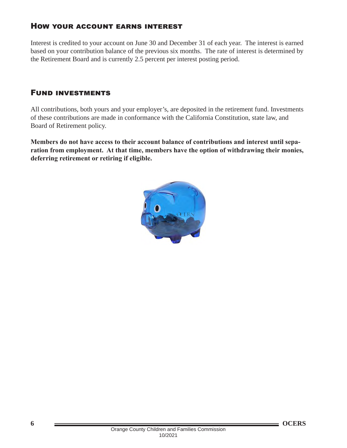#### How your account earns interest

Interest is credited to your account on June 30 and December 31 of each year. The interest is earned based on your contribution balance of the previous six months. The rate of interest is determined by the Retirement Board and is currently 2.5 percent per interest posting period.

#### Fund investments

All contributions, both yours and your employer's, are deposited in the retirement fund. Investments of these contributions are made in conformance with the California Constitution, state law, and Board of Retirement policy.

**Members do not have access to their account balance of contributions and interest until separation from employment. At that time, members have the option of withdrawing their monies, deferring retirement or retiring if eligible.** 

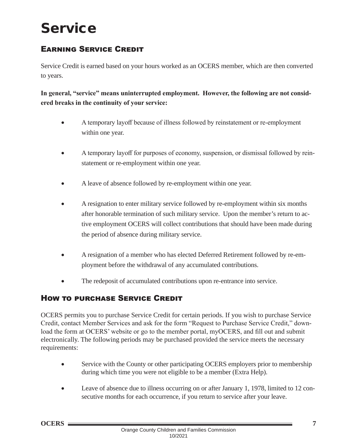## **Service**

## Earning Service Credit

Service Credit is earned based on your hours worked as an OCERS member, which are then converted to years.

**In general, "service" means uninterrupted employment. However, the following are not considered breaks in the continuity of your service:**

- A temporary layoff because of illness followed by reinstatement or re-employment within one year.
- A temporary layoff for purposes of economy, suspension, or dismissal followed by reinstatement or re-employment within one year.
- A leave of absence followed by re-employment within one year.
- A resignation to enter military service followed by re-employment within six months after honorable termination of such military service. Upon the member's return to active employment OCERS will collect contributions that should have been made during the period of absence during military service.
- A resignation of a member who has elected Deferred Retirement followed by re-employment before the withdrawal of any accumulated contributions.
- The redeposit of accumulated contributions upon re-entrance into service.

#### How to purchase Service Credit

OCERS permits you to purchase Service Credit for certain periods. If you wish to purchase Service Credit, contact Member Services and ask for the form "Request to Purchase Service Credit," download the form at OCERS' website or go to the member portal, myOCERS, and fill out and submit electronically. The following periods may be purchased provided the service meets the necessary requirements:

- Service with the County or other participating OCERS employers prior to membership during which time you were not eligible to be a member (Extra Help).
- Leave of absence due to illness occurring on or after January 1, 1978, limited to 12 consecutive months for each occurrence, if you return to service after your leave.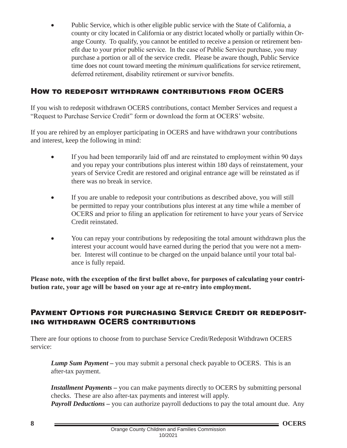Public Service, which is other eligible public service with the State of California, a county or city located in California or any district located wholly or partially within Orange County. To qualify, you cannot be entitled to receive a pension or retirement benefit due to your prior public service. In the case of Public Service purchase, you may purchase a portion or all of the service credit. Please be aware though, Public Service time does not count toward meeting the *minimum* qualifications for service retirement, deferred retirement, disability retirement or survivor benefits.

#### How to redeposit withdrawn contributions from OCERS

If you wish to redeposit withdrawn OCERS contributions, contact Member Services and request a "Request to Purchase Service Credit" form or download the form at OCERS' website.

If you are rehired by an employer participating in OCERS and have withdrawn your contributions and interest, keep the following in mind:

- If you had been temporarily laid off and are reinstated to employment within 90 days and you repay your contributions plus interest within 180 days of reinstatement, your years of Service Credit are restored and original entrance age will be reinstated as if there was no break in service.
- If you are unable to redeposit your contributions as described above, you will still be permitted to repay your contributions plus interest at any time while a member of OCERS and prior to filing an application for retirement to have your years of Service Credit reinstated.
- You can repay your contributions by redepositing the total amount withdrawn plus the interest your account would have earned during the period that you were not a member. Interest will continue to be charged on the unpaid balance until your total balance is fully repaid.

**Please note, with the exception of the first bullet above, for purposes of calculating your contribution rate, your age will be based on your age at re-entry into employment.**

#### Payment Options for purchasing Service Credit or redepositing withdrawn OCERS contributions

There are four options to choose from to purchase Service Credit/Redeposit Withdrawn OCERS service:

*Lump Sum Payment – you may submit a personal check payable to OCERS. This is an* after-tax payment.

*Installment Payments –* you can make payments directly to OCERS by submitting personal checks. These are also after-tax payments and interest will apply.

*Payroll Deductions* – you can authorize payroll deductions to pay the total amount due. Any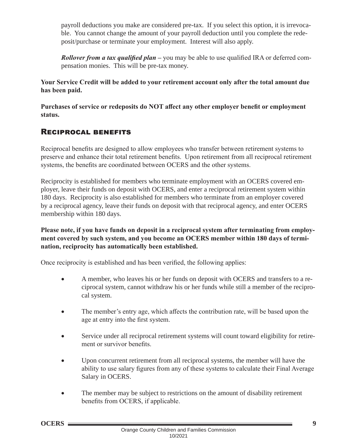<span id="page-11-0"></span>payroll deductions you make are considered pre-tax. If you select this option, it is irrevocable. You cannot change the amount of your payroll deduction until you complete the redeposit/purchase or terminate your employment. Interest will also apply.

*Rollover from a tax qualified plan –* you may be able to use qualified IRA or deferred compensation monies. This will be pre-tax money.

**Your Service Credit will be added to your retirement account only after the total amount due has been paid.** 

Purchases of service or redeposits do NOT affect any other employer benefit or employment **status.**

#### Reciprocal benefits

Reciprocal benefits are designed to allow employees who transfer between retirement systems to preserve and enhance their total retirement benefits. Upon retirement from all reciprocal retirement systems, the benefits are coordinated between OCERS and the other systems.

Reciprocity is established for members who terminate employment with an OCERS covered employer, leave their funds on deposit with OCERS, and enter a reciprocal retirement system within 180 days. Reciprocity is also established for members who terminate from an employer covered by a reciprocal agency, leave their funds on deposit with that reciprocal agency, and enter OCERS membership within 180 days.

#### **Please note, if you have funds on deposit in a reciprocal system after terminating from employment covered by such system, and you become an OCERS member within 180 days of termination, reciprocity has automatically been established.**

Once reciprocity is established and has been verified, the following applies:

- A member, who leaves his or her funds on deposit with OCERS and transfers to a reciprocal system, cannot withdraw his or her funds while still a member of the reciprocal system.
- The member's entry age, which affects the contribution rate, will be based upon the age at entry into the first system.
- Service under all reciprocal retirement systems will count toward eligibility for retirement or survivor benefits.
- Upon concurrent retirement from all reciprocal systems, the member will have the ability to use salary figures from any of these systems to calculate their Final Average Salary in OCERS.
- The member may be subject to restrictions on the amount of disability retirement benefits from OCERS, if applicable.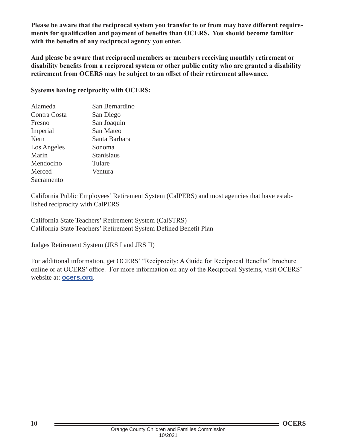**Please be aware that the reciprocal system you transfer to or from may have different requirements for qualification and payment of benefits than OCERS. You should become familiar with the benefits of any reciprocal agency you enter.**

**And please be aware that reciprocal members or members receiving monthly retirement or disability benefits from a reciprocal system or other public entity who are granted a disability retirement from OCERS may be subject to an offset of their retirement allowance.**

**Systems having reciprocity with OCERS:**

| Alameda      | San Bernardino    |
|--------------|-------------------|
| Contra Costa | San Diego         |
| Fresno       | San Joaquin       |
| Imperial     | San Mateo         |
| Kern         | Santa Barbara     |
| Los Angeles  | Sonoma            |
| Marin        | <b>Stanislaus</b> |
| Mendocino    | Tulare            |
| Merced       | Ventura           |
| Sacramento   |                   |
|              |                   |

California Public Employees' Retirement System (CalPERS) and most agencies that have established reciprocity with CalPERS

California State Teachers' Retirement System (CalSTRS) California State Teachers' Retirement System Defined Benefit Plan

Judges Retirement System (JRS I and JRS II)

For additional information, get OCERS' "Reciprocity: A Guide for Reciprocal Benefits" brochure online or at OCERS' office. For more information on any of the Reciprocal Systems, visit OCERS' website at: **[ocers.org](https://www.ocers.org)**.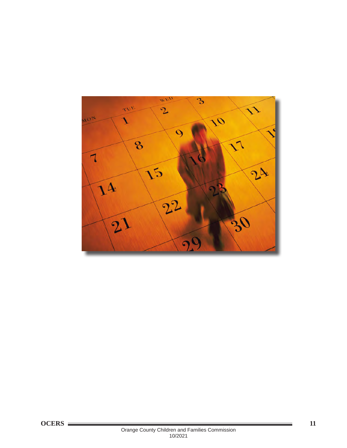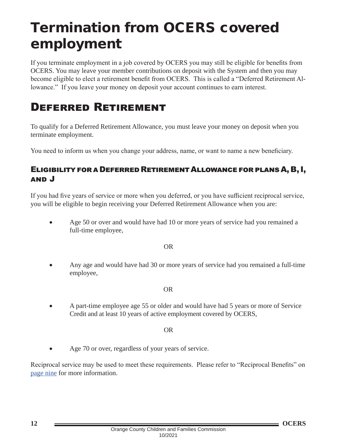## Termination from OCERS covered employment

If you terminate employment in a job covered by OCERS you may still be eligible for benefits from OCERS. You may leave your member contributions on deposit with the System and then you may become eligible to elect a retirement benefit from OCERS. This is called a "Deferred Retirement Allowance." If you leave your money on deposit your account continues to earn interest.

## Deferred Retirement

To qualify for a Deferred Retirement Allowance, you must leave your money on deposit when you terminate employment.

You need to inform us when you change your address, name, or want to name a new beneficiary.

#### Eligibility for a Deferred Retirement Allowance for plans A, B, I, and J

If you had five years of service or more when you deferred, or you have sufficient reciprocal service, you will be eligible to begin receiving your Deferred Retirement Allowance when you are:

• Age 50 or over and would have had 10 or more years of service had you remained a full-time employee,

OR

• Any age and would have had 30 or more years of service had you remained a full-time employee,

#### OR

• A part-time employee age 55 or older and would have had 5 years or more of Service Credit and at least 10 years of active employment covered by OCERS,

#### OR

Age 70 or over, regardless of your years of service.

Reciprocal service may be used to meet these requirements. Please refer to "Reciprocal Benefits" on [page nine](#page-11-0) for more information.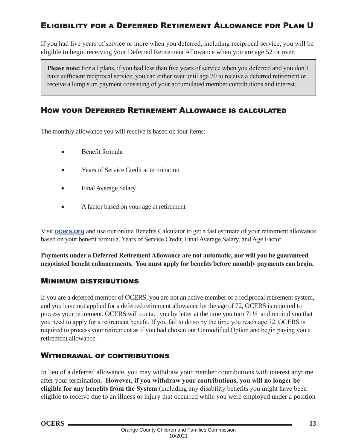## Eligibility for a Deferred Retirement Allowance for Plan U

If you had five years of service or more when you deferred, including reciprocal service, you will be eligible to begin receiving your Deferred Retirement Allowance when you are age 52 or over.

**Please note:** For all plans, if you had less than five years of service when you deferred and you don't have sufficient reciprocal service, you can either wait until age 70 to receive a deferred retirement or receive a lump sum payment consisting of your accumulated member contributions and interest.

#### How your Deferred Retirement Allowance is calculated

The monthly allowance you will receive is based on four items:

- Benefit formula
- Years of Service Credit at termination
- Final Average Salary
- A factor based on your age at retirement

Visit **[ocers.org](https://www.ocers.org)** and use our online Benefits Calculator to get a fast estimate of your retirement allowance based on your benefit formula, Years of Service Credit, Final Average Salary, and Age Factor.

**Payments under a Deferred Retirement Allowance are not automatic, nor will you be guaranteed negotiated benefit enhancements. You must apply for benefits before monthly payments can begin.**

#### Minimum distributions

If you are a deferred member of OCERS, you are not an active member of a reciprocal retirement system, and you have not applied for a deferred retirement allowance by the age of 72, OCERS is required to process your retirement. OCERS will contact you by letter at the time you turn 71½ and remind you that you need to apply for a retirement benefit. If you fail to do so by the time you reach age 72, OCERS is required to process your retirement as if you had chosen our Unmodified Option and begin paying you a retirement allowance.

#### WITHDRAWAL OF CONTRIBUTIONS

In lieu of a deferred allowance, you may withdraw your member contributions with interest anytime after your termination. **However, if you withdraw your contributions, you will no longer be eligible for any benefits from the System** (including any disability benefits you might have been eligible to receive due to an illness or injury that occurred while you were employed under a position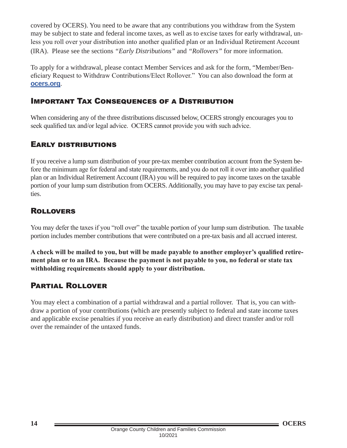covered by OCERS). You need to be aware that any contributions you withdraw from the System may be subject to state and federal income taxes, as well as to excise taxes for early withdrawal, unless you roll over your distribution into another qualified plan or an Individual Retirement Account (IRA). Please see the sections *"Early Distributions"* and *"Rollovers"* for more information.

To apply for a withdrawal, please contact Member Services and ask for the form, "Member/Beneficiary Request to Withdraw Contributions/Elect Rollover." You can also download the form at **[ocers.org](https://www.ocers.org)**.

### **IMPORTANT TAX CONSEQUENCES OF A DISTRIBUTION**

When considering any of the three distributions discussed below, OCERS strongly encourages you to seek qualified tax and/or legal advice. OCERS cannot provide you with such advice.

### Early distributions

If you receive a lump sum distribution of your pre-tax member contribution account from the System before the minimum age for federal and state requirements, and you do not roll it over into another qualified plan or an Individual Retirement Account (IRA) you will be required to pay income taxes on the taxable portion of your lump sum distribution from OCERS. Additionally, you may have to pay excise tax penalties.

## Rollovers

You may defer the taxes if you "roll over" the taxable portion of your lump sum distribution. The taxable portion includes member contributions that were contributed on a pre-tax basis and all accrued interest.

**A check will be mailed to you, but will be made payable to another employer's qualified retirement plan or to an IRA. Because the payment is not payable to you, no federal or state tax withholding requirements should apply to your distribution.**

## Partial Rollover

You may elect a combination of a partial withdrawal and a partial rollover. That is, you can withdraw a portion of your contributions (which are presently subject to federal and state income taxes and applicable excise penalties if you receive an early distribution) and direct transfer and/or roll over the remainder of the untaxed funds.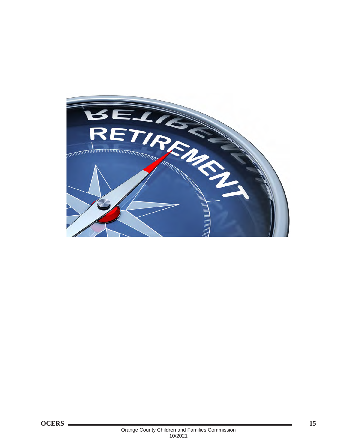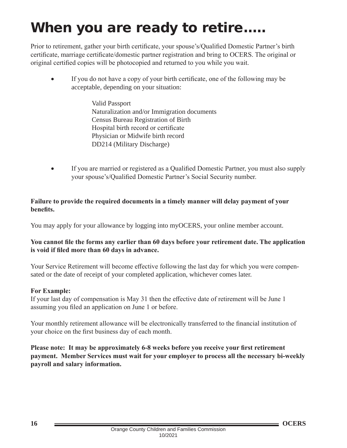## When you are ready to retire.....

Prior to retirement, gather your birth certificate, your spouse's/Qualified Domestic Partner's birth certificate, marriage certificate/domestic partner registration and bring to OCERS. The original or original certified copies will be photocopied and returned to you while you wait.

• If you do not have a copy of your birth certificate, one of the following may be acceptable, depending on your situation:

> Valid Passport Naturalization and/or Immigration documents Census Bureau Registration of Birth Hospital birth record or certificate Physician or Midwife birth record DD214 (Military Discharge)

• If you are married or registered as a Qualified Domestic Partner, you must also supply your spouse's/Qualified Domestic Partner's Social Security number.

#### **Failure to provide the required documents in a timely manner will delay payment of your benefits.**

You may apply for your allowance by logging into myOCERS, your online member account.

#### **You cannot file the forms any earlier than 60 days before your retirement date. The application is void if filed more than 60 days in advance.**

Your Service Retirement will become effective following the last day for which you were compensated or the date of receipt of your completed application, whichever comes later.

#### **For Example:**

If your last day of compensation is May 31 then the effective date of retirement will be June 1 assuming you filed an application on June 1 or before.

Your monthly retirement allowance will be electronically transferred to the financial institution of your choice on the first business day of each month.

**Please note: It may be approximately 6-8 weeks before you receive your first retirement payment. Member Services must wait for your employer to process all the necessary bi-weekly payroll and salary information.**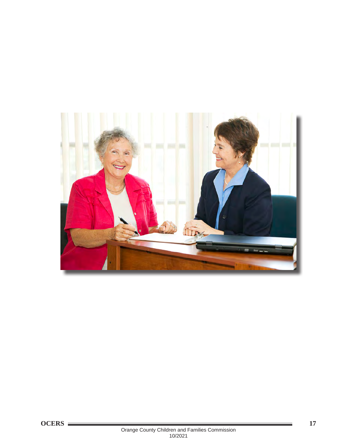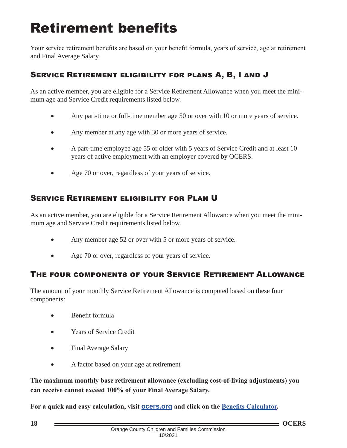## <span id="page-20-0"></span>Retirement benefits

Your service retirement benefits are based on your benefit formula, years of service, age at retirement and Final Average Salary.

## SERVICE RETIREMENT ELIGIBILITY FOR PLANS A, B, I AND J

As an active member, you are eligible for a Service Retirement Allowance when you meet the minimum age and Service Credit requirements listed below.

- Any part-time or full-time member age 50 or over with 10 or more years of service.
- Any member at any age with 30 or more years of service.
- A part-time employee age 55 or older with 5 years of Service Credit and at least 10 years of active employment with an employer covered by OCERS.
- Age 70 or over, regardless of your years of service.

## Service Retirement eligibility for Plan U

As an active member, you are eligible for a Service Retirement Allowance when you meet the minimum age and Service Credit requirements listed below.

- Any member age 52 or over with 5 or more years of service.
- Age 70 or over, regardless of your years of service.

#### The four components of your Service Retirement Allowance

The amount of your monthly Service Retirement Allowance is computed based on these four components:

- Benefit formula
- Years of Service Credit
- Final Average Salary
- A factor based on your age at retirement

**The maximum monthly base retirement allowance (excluding cost-of-living adjustments) you can receive cannot exceed 100% of your Final Average Salary.**

**For a quick and easy calculation, visit [ocers.org](https://www.ocers.org) and click on the [Benefits Calculator](https://www.ocers.org/benefits-calculator).**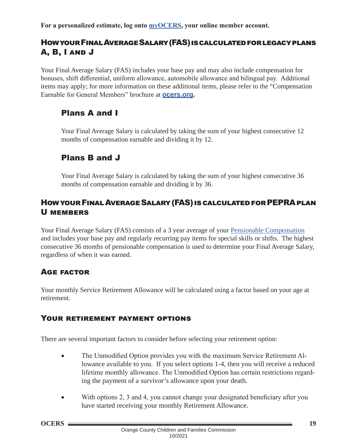**For a personalized estimate, log onto [myOCERS](https://mss.ocers.org/), your online member account.**

## How your Final Average Salary (FAS) is calculated for legacy plans A, B, I and J

Your Final Average Salary (FAS) includes your base pay and may also include compensation for bonuses, shift differential, uniform allowance, automobile allowance and bilingual pay. Additional items may apply; for more information on these additional items, please refer to the "Compensation Earnable for General Members" brochure at **[ocers.org](https://www.ocers.org).**

## Plans A and I

Your Final Average Salary is calculated by taking the sum of your highest consecutive 12 months of compensation earnable and dividing it by 12.

## Plans B and J

Your Final Average Salary is calculated by taking the sum of your highest consecutive 36 months of compensation earnable and dividing it by 36.

## How your Final Average Salary (FAS) is calculated for PEPRA plan U members

Your Final Average Salary (FAS) consists of a 3 year average of your [Pensionable Compensation](#page-41-0) and includes your base pay and regularly recurring pay items for special skills or shifts. The highest consecutive 36 months of pensionable compensation is used to determine your Final Average Salary, regardless of when it was earned.

## Age factor

Your monthly Service Retirement Allowance will be calculated using a factor based on your age at retirement.

#### YOUR RETIREMENT PAYMENT OPTIONS

There are several important factors to consider before selecting your retirement option:

- The Unmodified Option provides you with the maximum Service Retirement Allowance available to you. If you select options 1-4, then you will receive a reduced lifetime monthly allowance. The Unmodified Option has certain restrictions regarding the payment of a survivor's allowance upon your death.
- With options 2, 3 and 4, you cannot change your designated beneficiary after you have started receiving your monthly Retirement Allowance.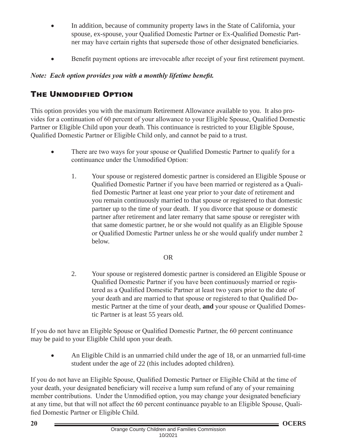- <span id="page-22-0"></span>• In addition, because of community property laws in the State of California, your spouse, ex-spouse, your Qualified Domestic Partner or Ex-Qualified Domestic Partner may have certain rights that supersede those of other designated beneficiaries.
- Benefit payment options are irrevocable after receipt of your first retirement payment.

#### *Note: Each option provides you with a monthly lifetime benefit.*

## The Unmodified Option

This option provides you with the maximum Retirement Allowance available to you. It also provides for a continuation of 60 percent of your allowance to your Eligible Spouse, Qualified Domestic Partner or Eligible Child upon your death. This continuance is restricted to your Eligible Spouse, Qualified Domestic Partner or Eligible Child only, and cannot be paid to a trust.

- There are two ways for your spouse or Qualified Domestic Partner to qualify for a continuance under the Unmodified Option:
	- 1. Your spouse or registered domestic partner is considered an Eligible Spouse or Qualified Domestic Partner if you have been married or registered as a Qualified Domestic Partner at least one year prior to your date of retirement and you remain continuously married to that spouse or registered to that domestic partner up to the time of your death. If you divorce that spouse or domestic partner after retirement and later remarry that same spouse or reregister with that same domestic partner, he or she would not qualify as an Eligible Spouse or Qualified Domestic Partner unless he or she would qualify under number 2 below.

#### OR

2. Your spouse or registered domestic partner is considered an Eligible Spouse or Qualified Domestic Partner if you have been continuously married or registered as a Qualified Domestic Partner at least two years prior to the date of your death and are married to that spouse or registered to that Qualified Domestic Partner at the time of your death, **and** your spouse or Qualified Domestic Partner is at least 55 years old.

If you do not have an Eligible Spouse or Qualified Domestic Partner, the 60 percent continuance may be paid to your Eligible Child upon your death.

• An Eligible Child is an unmarried child under the age of 18, or an unmarried full-time student under the age of 22 (this includes adopted children).

If you do not have an Eligible Spouse, Qualified Domestic Partner or Eligible Child at the time of your death, your designated beneficiary will receive a lump sum refund of any of your remaining member contributions. Under the Unmodified option, you may change your designated beneficiary at any time, but that will not affect the 60 percent continuance payable to an Eligible Spouse, Qualified Domestic Partner or Eligible Child.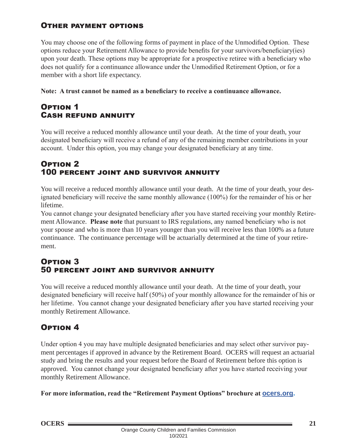### <span id="page-23-0"></span>Other payment options

You may choose one of the following forms of payment in place of the Unmodified Option. These options reduce your Retirement Allowance to provide benefits for your survivors/beneficiary(ies) upon your death. These options may be appropriate for a prospective retiree with a beneficiary who does not qualify for a continuance allowance under the Unmodified Retirement Option, or for a member with a short life expectancy.

#### **Note: A trust cannot be named as a beneficiary to receive a continuance allowance.**

### **OPTION 1** Cash refund annuity

You will receive a reduced monthly allowance until your death. At the time of your death, your designated beneficiary will receive a refund of any of the remaining member contributions in your account. Under this option, you may change your designated beneficiary at any time.

#### **OPTION 2** 100 percent joint and survivor annuity

You will receive a reduced monthly allowance until your death. At the time of your death, your designated beneficiary will receive the same monthly allowance (100%) for the remainder of his or her lifetime.

You cannot change your designated beneficiary after you have started receiving your monthly Retirement Allowance. **Please note** that pursuant to IRS regulations, any named beneficiary who is not your spouse and who is more than 10 years younger than you will receive less than 100% as a future continuance. The continuance percentage will be actuarially determined at the time of your retirement.

#### **OPTION 3** 50 percent joint and survivor annuity

You will receive a reduced monthly allowance until your death. At the time of your death, your designated beneficiary will receive half (50%) of your monthly allowance for the remainder of his or her lifetime. You cannot change your designated beneficiary after you have started receiving your monthly Retirement Allowance.

## **OPTION 4**

Under option 4 you may have multiple designated beneficiaries and may select other survivor payment percentages if approved in advance by the Retirement Board. OCERS will request an actuarial study and bring the results and your request before the Board of Retirement before this option is approved. You cannot change your designated beneficiary after you have started receiving your monthly Retirement Allowance.

#### **For more information, read the "Retirement Payment Options" brochure at [ocers.org.](https://www.ocers.org)**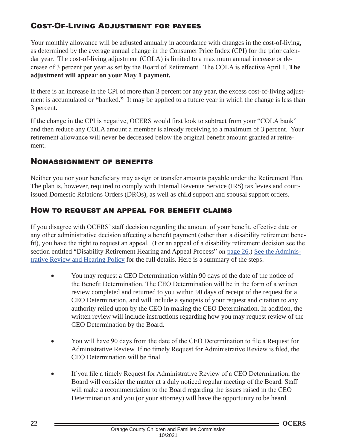## Cost-Of-Living Adjustment for payees

Your monthly allowance will be adjusted annually in accordance with changes in the cost-of-living, as determined by the average annual change in the Consumer Price Index (CPI) for the prior calendar year. The cost-of-living adjustment (COLA) is limited to a maximum annual increase or decrease of 3 percent per year as set by the Board of Retirement. The COLA is effective April 1. **The adjustment will appear on your May 1 payment.**

If there is an increase in the CPI of more than 3 percent for any year, the excess cost-of-living adjustment is accumulated or **"**banked.**"** It may be applied to a future year in which the change is less than 3 percent.

If the change in the CPI is negative, OCERS would first look to subtract from your "COLA bank" and then reduce any COLA amount a member is already receiving to a maximum of 3 percent. Your retirement allowance will never be decreased below the original benefit amount granted at retirement.

#### Nonassignment of benefits

Neither you nor your beneficiary may assign or transfer amounts payable under the Retirement Plan. The plan is, however, required to comply with Internal Revenue Service (IRS) tax levies and courtissued Domestic Relations Orders (DROs), as well as child support and spousal support orders.

#### How to request an appeal for benefit claims

If you disagree with OCERS' staff decision regarding the amount of your benefit, effective date or any other administrative decision affecting a benefit payment (other than a disability retirement benefit), you have the right to request an appeal. (For an appeal of a disability retirement decision see the section entitled "Disability Retirement Hearing and Appeal Process" on [page 26](#page-28-0).) [See the Adminis](https://www.ocers.org/sites/main/files/file-attachments/administrative_review_and_hearing_policy_for_cases_filed_on_or_after_august_18_2020.pdf?1598398697)[trative Review and Hearing Policy](https://www.ocers.org/sites/main/files/file-attachments/administrative_review_and_hearing_policy_for_cases_filed_on_or_after_august_18_2020.pdf?1598398697) for the full details. Here is a summary of the steps:

- You may request a CEO Determination within 90 days of the date of the notice of the Benefit Determination. The CEO Determination will be in the form of a written review completed and returned to you within 90 days of receipt of the request for a CEO Determination, and will include a synopsis of your request and citation to any authority relied upon by the CEO in making the CEO Determination. In addition, the written review will include instructions regarding how you may request review of the CEO Determination by the Board.
- You will have 90 days from the date of the CEO Determination to file a Request for Administrative Review. If no timely Request for Administrative Review is filed, the CEO Determination will be final.
- If you file a timely Request for Administrative Review of a CEO Determination, the Board will consider the matter at a duly noticed regular meeting of the Board. Staff will make a recommendation to the Board regarding the issues raised in the CEO Determination and you (or your attorney) will have the opportunity to be heard.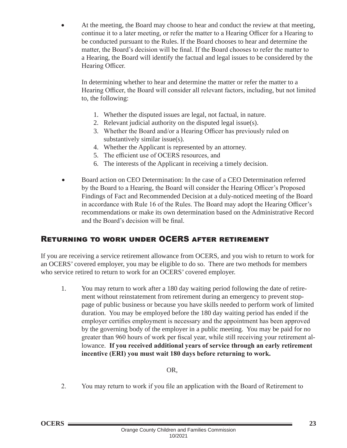At the meeting, the Board may choose to hear and conduct the review at that meeting, continue it to a later meeting, or refer the matter to a Hearing Officer for a Hearing to be conducted pursuant to the Rules. If the Board chooses to hear and determine the matter, the Board's decision will be final. If the Board chooses to refer the matter to a Hearing, the Board will identify the factual and legal issues to be considered by the Hearing Officer.

In determining whether to hear and determine the matter or refer the matter to a Hearing Officer, the Board will consider all relevant factors, including, but not limited to, the following:

- 1. Whether the disputed issues are legal, not factual, in nature.
- 2. Relevant judicial authority on the disputed legal issue(s).
- 3. Whether the Board and/or a Hearing Officer has previously ruled on substantively similar issue(s).
- 4. Whether the Applicant is represented by an attorney.
- 5. The efficient use of OCERS resources, and
- 6. The interests of the Applicant in receiving a timely decision.
- Board action on CEO Determination: In the case of a CEO Determination referred by the Board to a Hearing, the Board will consider the Hearing Officer's Proposed Findings of Fact and Recommended Decision at a duly-noticed meeting of the Board in accordance with Rule 16 of the Rules. The Board may adopt the Hearing Officer's recommendations or make its own determination based on the Administrative Record and the Board's decision will be final.

#### Returning to work under OCERS after retirement

If you are receiving a service retirement allowance from OCERS, and you wish to return to work for an OCERS' covered employer, you may be eligible to do so. There are two methods for members who service retired to return to work for an OCERS' covered employer.

1. You may return to work after a 180 day waiting period following the date of retirement without reinstatement from retirement during an emergency to prevent stoppage of public business or because you have skills needed to perform work of limited duration. You may be employed before the 180 day waiting period has ended if the employer certifies employment is necessary and the appointment has been approved by the governing body of the employer in a public meeting. You may be paid for no greater than 960 hours of work per fiscal year, while still receiving your retirement allowance. **If you received additional years of service through an early retirement incentive (ERI) you must wait 180 days before returning to work.**

OR,

2. You may return to work if you file an application with the Board of Retirement to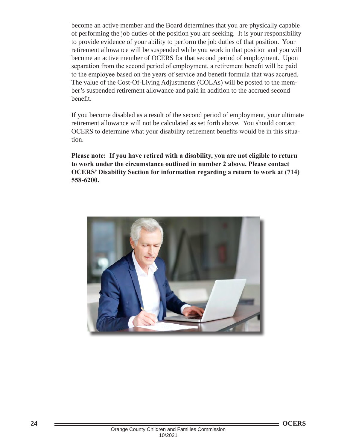become an active member and the Board determines that you are physically capable of performing the job duties of the position you are seeking. It is your responsibility to provide evidence of your ability to perform the job duties of that position. Your retirement allowance will be suspended while you work in that position and you will become an active member of OCERS for that second period of employment. Upon separation from the second period of employment, a retirement benefit will be paid to the employee based on the years of service and benefit formula that was accrued. The value of the Cost-Of-Living Adjustments (COLAs) will be posted to the member's suspended retirement allowance and paid in addition to the accrued second benefit.

If you become disabled as a result of the second period of employment, your ultimate retirement allowance will not be calculated as set forth above. You should contact OCERS to determine what your disability retirement benefits would be in this situation.

**Please note: If you have retired with a disability, you are not eligible to return to work under the circumstance outlined in number 2 above. Please contact OCERS' Disability Section for information regarding a return to work at (714) 558-6200.**

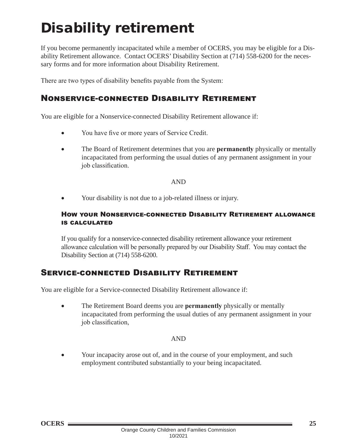## <span id="page-27-0"></span>Disability retirement

If you become permanently incapacitated while a member of OCERS, you may be eligible for a Disability Retirement allowance. Contact OCERS' Disability Section at (714) 558-6200 for the necessary forms and for more information about Disability Retirement.

There are two types of disability benefits payable from the System:

## Nonservice-connected Disability Retirement

You are eligible for a Nonservice-connected Disability Retirement allowance if:

- You have five or more years of Service Credit.
- The Board of Retirement determines that you are **permanently** physically or mentally incapacitated from performing the usual duties of any permanent assignment in your job classification.

#### AND

• Your disability is not due to a job-related illness or injury.

#### How your Nonservice-connected Disability Retirement allowance is calculated

If you qualify for a nonservice-connected disability retirement allowance your retirement allowance calculation will be personally prepared by our Disability Staff. You may contact the Disability Section at (714) 558-6200.

## Service-connected Disability Retirement

You are eligible for a Service-connected Disability Retirement allowance if:

• The Retirement Board deems you are **permanently** physically or mentally incapacitated from performing the usual duties of any permanent assignment in your job classification,

#### AND

• Your incapacity arose out of, and in the course of your employment, and such employment contributed substantially to your being incapacitated.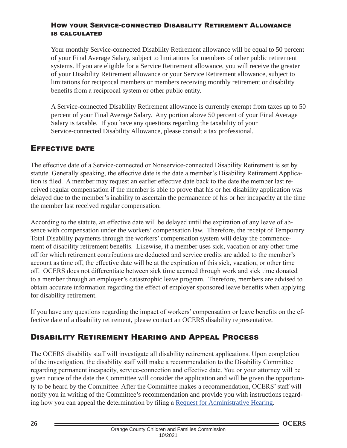#### <span id="page-28-0"></span>How your Service-connected Disability Retirement Allowance is calculated

Your monthly Service-connected Disability Retirement allowance will be equal to 50 percent of your Final Average Salary, subject to limitations for members of other public retirement systems. If you are eligible for a Service Retirement allowance, you will receive the greater of your Disability Retirement allowance or your Service Retirement allowance, subject to limitations for reciprocal members or members receiving monthly retirement or disability benefits from a reciprocal system or other public entity.

A Service-connected Disability Retirement allowance is currently exempt from taxes up to 50 percent of your Final Average Salary. Any portion above 50 percent of your Final Average Salary is taxable. If you have any questions regarding the taxability of your Service-connected Disability Allowance, please consult a tax professional.

### Effective date

The effective date of a Service-connected or Nonservice-connected Disability Retirement is set by statute. Generally speaking, the effective date is the date a member's Disability Retirement Application is filed. A member may request an earlier effective date back to the date the member last received regular compensation if the member is able to prove that his or her disability application was delayed due to the member's inability to ascertain the permanence of his or her incapacity at the time the member last received regular compensation.

According to the statute, an effective date will be delayed until the expiration of any leave of absence with compensation under the workers' compensation law. Therefore, the receipt of Temporary Total Disability payments through the workers' compensation system will delay the commencement of disability retirement benefits. Likewise, if a member uses sick, vacation or any other time off for which retirement contributions are deducted and service credits are added to the member's account as time off, the effective date will be at the expiration of this sick, vacation, or other time off. OCERS does not differentiate between sick time accrued through work and sick time donated to a member through an employer's catastrophic leave program. Therefore, members are advised to obtain accurate information regarding the effect of employer sponsored leave benefits when applying for disability retirement.

If you have any questions regarding the impact of workers' compensation or leave benefits on the effective date of a disability retirement, please contact an OCERS disability representative.

## Disability Retirement Hearing and Appeal Process

The OCERS disability staff will investigate all disability retirement applications. Upon completion of the investigation, the disability staff will make a recommendation to the Disability Committee regarding permanent incapacity, service-connection and effective date. You or your attorney will be given notice of the date the Committee will consider the application and will be given the opportunity to be heard by the Committee. After the Committee makes a recommendation, OCERS' staff will notify you in writing of the Committee's recommendation and provide you with instructions regarding how you can appeal the determination by filing a [Request for Administrative Hearing.](https://www.ocers.org/sites/main/files/file-attachments/administrative_review_and_hearing_policy_for_cases_filed_on_or_after_august_18_2020.pdf?1598398697)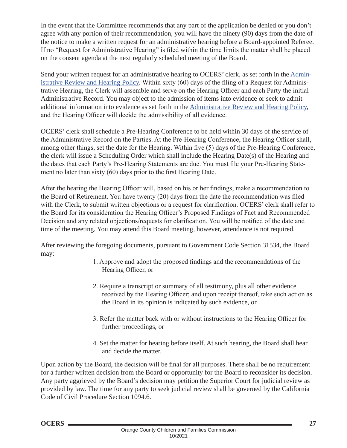In the event that the Committee recommends that any part of the application be denied or you don't agree with any portion of their recommendation, you will have the ninety (90) days from the date of the notice to make a written request for an administrative hearing before a Board-appointed Referee. If no "Request for Administrative Hearing" is filed within the time limits the matter shall be placed on the consent agenda at the next regularly scheduled meeting of the Board.

Send your written request for an administrative hearing to OCERS' clerk, as set forth in the [Admin](https://www.ocers.org/sites/main/files/file-attachments/administrative_review_and_hearing_policy_for_cases_filed_on_or_after_august_18_2020.pdf?1598398697)[istrative Review and Hearing Policy](https://www.ocers.org/sites/main/files/file-attachments/administrative_review_and_hearing_policy_for_cases_filed_on_or_after_august_18_2020.pdf?1598398697). Within sixty (60) days of the filing of a Request for Administrative Hearing, the Clerk will assemble and serve on the Hearing Officer and each Party the initial Administrative Record. You may object to the admission of items into evidence or seek to admit additional information into evidence as set forth in the [Administrative Review and Hearing Policy](https://www.ocers.org/sites/main/files/file-attachments/administrative_review_and_hearing_policy_for_cases_filed_on_or_after_august_18_2020.pdf?1598398697), and the Hearing Officer will decide the admissibility of all evidence.

OCERS' clerk shall schedule a Pre-Hearing Conference to be held within 30 days of the service of the Administrative Record on the Parties. At the Pre-Hearing Conference, the Hearing Officer shall, among other things, set the date for the Hearing. Within five (5) days of the Pre-Hearing Conference, the clerk will issue a Scheduling Order which shall include the Hearing Date(s) of the Hearing and the dates that each Party's Pre-Hearing Statements are due. You must file your Pre-Hearing Statement no later than sixty (60) days prior to the first Hearing Date.

After the hearing the Hearing Officer will, based on his or her findings, make a recommendation to the Board of Retirement. You have twenty (20) days from the date the recommendation was filed with the Clerk, to submit written objections or a request for clarification. OCERS' clerk shall refer to the Board for its consideration the Hearing Officer's Proposed Findings of Fact and Recommended Decision and any related objections/requests for clarification. You will be notified of the date and time of the meeting. You may attend this Board meeting, however, attendance is not required.

After reviewing the foregoing documents, pursuant to Government Code Section 31534, the Board may:

- 1. Approve and adopt the proposed findings and the recommendations of the Hearing Officer, or
- 2. Require a transcript or summary of all testimony, plus all other evidence received by the Hearing Officer; and upon receipt thereof, take such action as the Board in its opinion is indicated by such evidence, or
- 3. Refer the matter back with or without instructions to the Hearing Officer for further proceedings, or
- 4. Set the matter for hearing before itself. At such hearing, the Board shall hear and decide the matter.

Upon action by the Board, the decision will be final for all purposes. There shall be no requirement for a further written decision from the Board or opportunity for the Board to reconsider its decision. Any party aggrieved by the Board's decision may petition the Superior Court for judicial review as provided by law. The time for any party to seek judicial review shall be governed by the California Code of Civil Procedure Section 1094.6.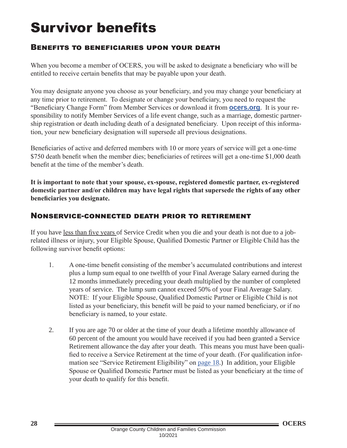## <span id="page-30-0"></span>Survivor benefits

#### Benefits to beneficiaries upon your death

When you become a member of OCERS, you will be asked to designate a beneficiary who will be entitled to receive certain benefits that may be payable upon your death.

You may designate anyone you choose as your beneficiary, and you may change your beneficiary at any time prior to retirement. To designate or change your beneficiary, you need to request the "Beneficiary Change Form" from Member Services or download it from **[ocers.org](https://www.ocers.org)**. It is your responsibility to notify Member Services of a life event change, such as a marriage, domestic partnership registration or death including death of a designated beneficiary. Upon receipt of this information, your new beneficiary designation will supersede all previous designations.

Beneficiaries of active and deferred members with 10 or more years of service will get a one-time \$750 death benefit when the member dies; beneficiaries of retirees will get a one-time \$1,000 death benefit at the time of the member's death.

**It is important to note that your spouse, ex-spouse, registered domestic partner, ex-registered domestic partner and/or children may have legal rights that supersede the rights of any other beneficiaries you designate.** 

#### Nonservice-connected death prior to retirement

If you have less than five years of Service Credit when you die and your death is not due to a jobrelated illness or injury, your Eligible Spouse, Qualified Domestic Partner or Eligible Child has the following survivor benefit options:

- 1. A one-time benefit consisting of the member's accumulated contributions and interest plus a lump sum equal to one twelfth of your Final Average Salary earned during the 12 months immediately preceding your death multiplied by the number of completed years of service. The lump sum cannot exceed 50% of your Final Average Salary. NOTE: If your Eligible Spouse, Qualified Domestic Partner or Eligible Child is not listed as your beneficiary, this benefit will be paid to your named beneficiary, or if no beneficiary is named, to your estate.
- 2. If you are age 70 or older at the time of your death a lifetime monthly allowance of 60 percent of the amount you would have received if you had been granted a Service Retirement allowance the day after your death. This means you must have been qualified to receive a Service Retirement at the time of your death. (For qualification information see "Service Retirement Eligibility" on [page 18](#page-20-0).) In addition, your Eligible Spouse or Qualified Domestic Partner must be listed as your beneficiary at the time of your death to qualify for this benefit.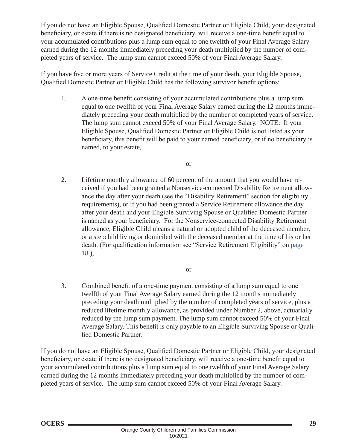If you do not have an Eligible Spouse, Qualified Domestic Partner or Eligible Child, your designated beneficiary, or estate if there is no designated beneficiary, will receive a one-time benefit equal to your accumulated contributions plus a lump sum equal to one twelfth of your Final Average Salary earned during the 12 months immediately preceding your death multiplied by the number of completed years of service. The lump sum cannot exceed 50% of your Final Average Salary.

If you have five or more years of Service Credit at the time of your death, your Eligible Spouse, Qualified Domestic Partner or Eligible Child has the following survivor benefit options:

1. A one-time benefit consisting of your accumulated contributions plus a lump sum equal to one twelfth of your Final Average Salary earned during the 12 months immediately preceding your death multiplied by the number of completed years of service. The lump sum cannot exceed 50% of your Final Average Salary. NOTE: If your Eligible Spouse, Qualified Domestic Partner or Eligible Child is not listed as your beneficiary, this benefit will be paid to your named beneficiary, or if no beneficiary is named, to your estate,

or

2. Lifetime monthly allowance of 60 percent of the amount that you would have received if you had been granted a Nonservice-connected Disability Retirement allowance the day after your death (see the "Disability Retirement" section for eligibility requirements), or if you had been granted a Service Retirement allowance the day after your death and your Eligible Surviving Spouse or Qualified Domestic Partner is named as your beneficiary. For the Nonservice-connected Disability Retirement allowance, Eligible Child means a natural or adopted child of the deceased member, or a stepchild living or domiciled with the deceased member at the time of his or her death. (For qualification information see "Service Retirement Eligibility" on page [1](#page-20-0)8.),

or

3. Combined benefit of a one-time payment consisting of a lump sum equal to one twelfth of your Final Average Salary earned during the 12 months immediately preceding your death multiplied by the number of completed years of service, plus a reduced lifetime monthly allowance, as provided under Number 2, above, actuarially reduced by the lump sum payment. The lump sum cannot exceed 50% of your Final Average Salary. This benefit is only payable to an Eligible Surviving Spouse or Qualified Domestic Partner.

If you do not have an Eligible Spouse, Qualified Domestic Partner or Eligible Child, your designated beneficiary, or estate if there is no designated beneficiary, will receive a one-time benefit equal to your accumulated contributions plus a lump sum equal to one twelfth of your Final Average Salary earned during the 12 months immediately preceding your death multiplied by the number of completed years of service. The lump sum cannot exceed 50% of your Final Average Salary.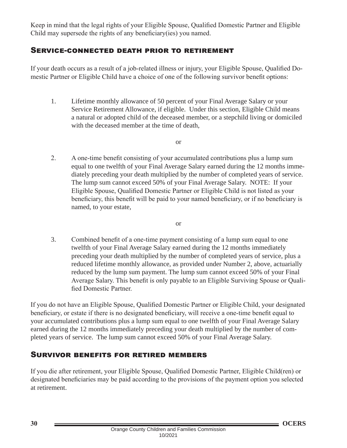Keep in mind that the legal rights of your Eligible Spouse, Qualified Domestic Partner and Eligible Child may supersede the rights of any beneficiary(ies) you named.

#### Service-connected death prior to retirement

If your death occurs as a result of a job-related illness or injury, your Eligible Spouse, Qualified Domestic Partner or Eligible Child have a choice of one of the following survivor benefit options:

1. Lifetime monthly allowance of 50 percent of your Final Average Salary or your Service Retirement Allowance, if eligible. Under this section, Eligible Child means a natural or adopted child of the deceased member, or a stepchild living or domiciled with the deceased member at the time of death.

or

2. A one-time benefit consisting of your accumulated contributions plus a lump sum equal to one twelfth of your Final Average Salary earned during the 12 months immediately preceding your death multiplied by the number of completed years of service. The lump sum cannot exceed 50% of your Final Average Salary. NOTE: If your Eligible Spouse, Qualified Domestic Partner or Eligible Child is not listed as your beneficiary, this benefit will be paid to your named beneficiary, or if no beneficiary is named, to your estate,

or

3. Combined benefit of a one-time payment consisting of a lump sum equal to one twelfth of your Final Average Salary earned during the 12 months immediately preceding your death multiplied by the number of completed years of service, plus a reduced lifetime monthly allowance, as provided under Number 2, above, actuarially reduced by the lump sum payment. The lump sum cannot exceed 50% of your Final Average Salary. This benefit is only payable to an Eligible Surviving Spouse or Qualified Domestic Partner.

If you do not have an Eligible Spouse, Qualified Domestic Partner or Eligible Child, your designated beneficiary, or estate if there is no designated beneficiary, will receive a one-time benefit equal to your accumulated contributions plus a lump sum equal to one twelfth of your Final Average Salary earned during the 12 months immediately preceding your death multiplied by the number of completed years of service. The lump sum cannot exceed 50% of your Final Average Salary.

#### Survivor benefits for retired members

If you die after retirement, your Eligible Spouse, Qualified Domestic Partner, Eligible Child(ren) or designated beneficiaries may be paid according to the provisions of the payment option you selected at retirement.

**30 OCERS**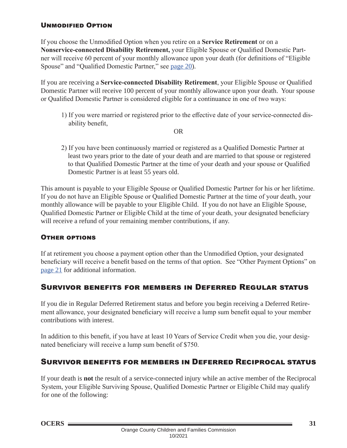#### Unmodified Option

If you choose the Unmodified Option when you retire on a **Service Retirement** or on a **Nonservice-connected Disability Retirement,** your Eligible Spouse or Qualified Domestic Partner will receive 60 percent of your monthly allowance upon your death (for definitions of "Eligible Spouse" and "Qualified Domestic Partner," see [page 20](#page-22-0)).

If you are receiving a **Service-connected Disability Retirement**, your Eligible Spouse or Qualified Domestic Partner will receive 100 percent of your monthly allowance upon your death. Your spouse or Qualified Domestic Partner is considered eligible for a continuance in one of two ways:

1) If you were married or registered prior to the effective date of your service-connected disability benefit,

#### OR

2) If you have been continuously married or registered as a Qualified Domestic Partner at least two years prior to the date of your death and are married to that spouse or registered to that Qualified Domestic Partner at the time of your death and your spouse or Qualified Domestic Partner is at least 55 years old.

This amount is payable to your Eligible Spouse or Qualified Domestic Partner for his or her lifetime. If you do not have an Eligible Spouse or Qualified Domestic Partner at the time of your death, your monthly allowance will be payable to your Eligible Child. If you do not have an Eligible Spouse, Qualified Domestic Partner or Eligible Child at the time of your death, your designated beneficiary will receive a refund of your remaining member contributions, if any.

#### Other options

If at retirement you choose a payment option other than the Unmodified Option, your designated beneficiary will receive a benefit based on the terms of that option. See "Other Payment Options" on [page 21](#page-23-0) for additional information.

#### Survivor benefits for members in Deferred Regular status

If you die in Regular Deferred Retirement status and before you begin receiving a Deferred Retirement allowance, your designated beneficiary will receive a lump sum benefit equal to your member contributions with interest.

In addition to this benefit, if you have at least 10 Years of Service Credit when you die, your designated beneficiary will receive a lump sum benefit of \$750.

## Survivor benefits for members in Deferred Reciprocal status

If your death is **not** the result of a service-connected injury while an active member of the Reciprocal System, your Eligible Surviving Spouse, Qualified Domestic Partner or Eligible Child may qualify for one of the following: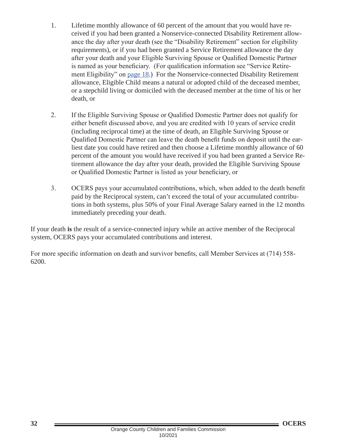- 1. Lifetime monthly allowance of 60 percent of the amount that you would have received if you had been granted a Nonservice-connected Disability Retirement allowance the day after your death (see the "Disability Retirement" section for eligibility requirements), or if you had been granted a Service Retirement allowance the day after your death and your Eligible Surviving Spouse or Qualified Domestic Partner is named as your beneficiary. (For qualification information see "Service Retirement Eligibility" on [page 18](#page-20-0).) For the Nonservice-connected Disability Retirement allowance, Eligible Child means a natural or adopted child of the deceased member, or a stepchild living or domiciled with the deceased member at the time of his or her death, or
- 2. If the Eligible Surviving Spouse or Qualified Domestic Partner does not qualify for either benefit discussed above, and you are credited with 10 years of service credit (including reciprocal time) at the time of death, an Eligible Surviving Spouse or Qualified Domestic Partner can leave the death benefit funds on deposit until the earliest date you could have retired and then choose a Lifetime monthly allowance of 60 percent of the amount you would have received if you had been granted a Service Retirement allowance the day after your death, provided the Eligible Surviving Spouse or Qualified Domestic Partner is listed as your beneficiary, or
- 3. OCERS pays your accumulated contributions, which, when added to the death benefit paid by the Reciprocal system, can't exceed the total of your accumulated contributions in both systems, plus 50% of your Final Average Salary earned in the 12 months immediately preceding your death.

If your death **is** the result of a service-connected injury while an active member of the Reciprocal system, OCERS pays your accumulated contributions and interest.

For more specific information on death and survivor benefits, call Member Services at (714) 558- 6200.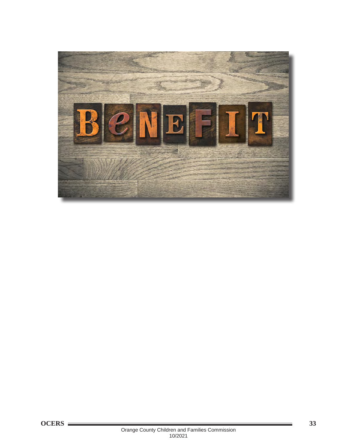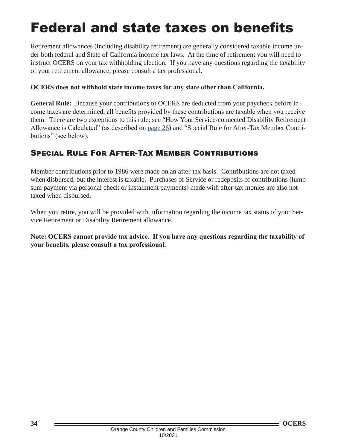## Federal and state taxes on benefits

Retirement allowances (including disability retirement) are generally considered taxable income under both federal and State of California income tax laws. At the time of retirement you will need to instruct OCERS on your tax withholding election. If you have any questions regarding the taxability of your retirement allowance, please consult a tax professional.

#### **OCERS does not withhold state income taxes for any state other than California.**

**General Rule:** Because your contributions to OCERS are deducted from your paycheck before income taxes are determined, all benefits provided by these contributions are taxable when you receive them. There are two exceptions to this rule: see "How Your Service-connected Disability Retirement Allowance is Calculated" (as described on [page 2](#page-28-0)6) and "Special Rule for After-Tax Member Contributions" (see below).

### Special Rule For After-Tax Member Contributions

Member contributions prior to 1986 were made on an after-tax basis. Contributions are not taxed when disbursed, but the interest is taxable. Purchases of Service or redeposits of contributions (lump sum payment via personal check or installment payments) made with after-tax monies are also not taxed when disbursed.

When you retire, you will be provided with information regarding the income tax status of your Service Retirement or Disability Retirement allowance.

**Note: OCERS cannot provide tax advice. If you have any questions regarding the taxability of your benefits, please consult a tax professional.**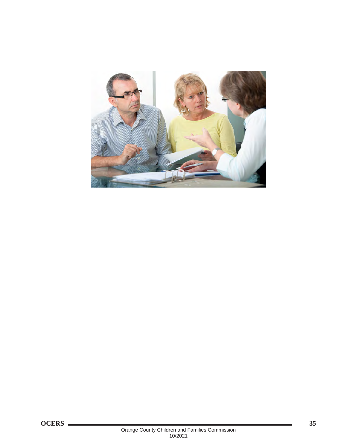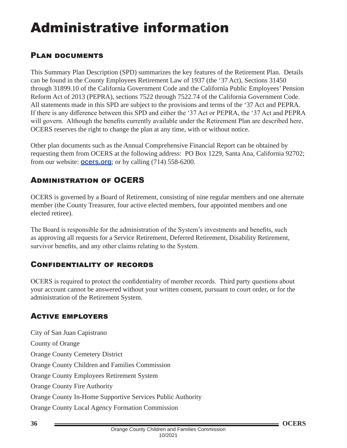## Administrative information

## Plan documents

This Summary Plan Description (SPD) summarizes the key features of the Retirement Plan. Details can be found in the County Employees Retirement Law of 1937 (the '37 Act), Sections 31450 through 31899.10 of the California Government Code and the California Public Employees' Pension Reform Act of 2013 (PEPRA), sections 7522 through 7522.74 of the California Government Code. All statements made in this SPD are subject to the provisions and terms of the '37 Act and PEPRA. If there is any difference between this SPD and either the '37 Act or PEPRA, the '37 Act and PEPRA will govern. Although the benefits currently available under the Retirement Plan are described here, OCERS reserves the right to change the plan at any time, with or without notice.

Other plan documents such as the Annual Comprehensive Financial Report can be obtained by requesting them from OCERS at the following address: PO Box 1229, Santa Ana, California 92702; from our website: **[ocers.org](https://www.ocers.org)**; or by calling (714) 558-6200.

## Administration of OCERS

OCERS is governed by a Board of Retirement, consisting of nine regular members and one alternate member (the County Treasurer, four active elected members, four appointed members and one elected retiree).

The Board is responsible for the administration of the System's investments and benefits, such as approving all requests for a Service Retirement, Deferred Retirement, Disability Retirement, survivor benefits, and any other claims relating to the System.

#### Confidentiality of records

OCERS is required to protect the confidentiality of member records. Third party questions about your account cannot be answered without your written consent, pursuant to court order, or for the administration of the Retirement System.

## Active employers

City of San Juan Capistrano County of Orange Orange County Cemetery District Orange County Children and Families Commission Orange County Employees Retirement System Orange County Fire Authority Orange County In-Home Supportive Services Public Authority Orange County Local Agency Formation Commission

**36 OCERS**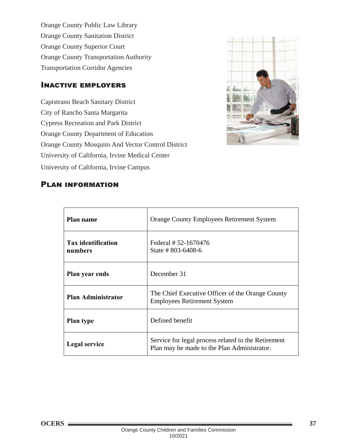Orange County Public Law Library Orange County Sanitation District Orange County Superior Court Orange County Transportation Authority Transportation Corridor Agencies

#### Inactive employers

Capistrano Beach Sanitary District City of Rancho Santa Margarita Cypress Recreation and Park District Orange County Department of Education Orange County Mosquito And Vector Control District University of California, Irvine Medical Center University of California, Irvine Campus



#### Plan information

| <b>Plan name</b>                     | <b>Orange County Employees Retirement System</b>                                                   |  |
|--------------------------------------|----------------------------------------------------------------------------------------------------|--|
| <b>Tax identification</b><br>numbers | Federal # 52-1670476<br>State # 803-6408-6                                                         |  |
| Plan year ends                       | December 31                                                                                        |  |
| <b>Plan Administrator</b>            | The Chief Executive Officer of the Orange County<br><b>Employees Retirement System</b>             |  |
| Defined benefit<br><b>Plan type</b>  |                                                                                                    |  |
| <b>Legal service</b>                 | Service for legal process related to the Retirement<br>Plan may be made to the Plan Administrator. |  |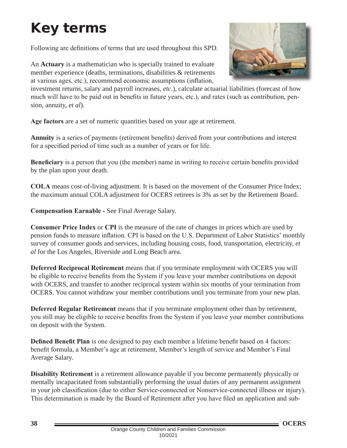## <span id="page-40-0"></span>Key terms

Following are definitions of terms that are used throughout this SPD.

An **Actuary** is a mathematician who is specially trained to evaluate member experience (deaths, terminations, disabilities & retirements at various ages, etc.), recommend economic assumptions (inflation,



investment returns, salary and payroll increases, *etc*.), calculate actuarial liabilities (forecast of how much will have to be paid out in benefits in future years, etc.), and rates (such as contribution, pension, annuity, *et al*).

**Age factors** are a set of numeric quantities based on your age at retirement.

**Annuity** is a series of payments (retirement benefits) derived from your contributions and interest for a specified period of time such as a number of years or for life.

**Beneficiary** is a person that you (the member) name in writing to receive certain benefits provided by the plan upon your death.

**COLA** means cost-of-living adjustment. It is based on the movement of the Consumer Price Index; the maximum annual COLA adjustment for OCERS retirees is 3% as set by the Retirement Board.

**Compensation Earnable -** See Final Average Salary.

**Consumer Price Index** or **CPI** is the measure of the rate of changes in prices which are used by pension funds to measure inflation. CPI is based on the U.S. Department of Labor Statistics' monthly survey of consumer goods and services, including housing costs, food, transportation, electricity, *et al* for the Los Angeles, Riverside and Long Beach area.

**Deferred Reciprocal Retirement** means that if you terminate employment with OCERS you will be eligible to receive benefits from the System if you leave your member contributions on deposit with OCERS, and transfer to another reciprocal system within six months of your termination from OCERS. You cannot withdraw your member contributions until you terminate from your new plan.

**Deferred Regular Retirement** means that if you terminate employment other than by retirement, you still may be eligible to receive benefits from the System if you leave your member contributions on deposit with the System.

**Defined Benefit Plan** is one designed to pay each member a lifetime benefit based on 4 factors: benefit formula, a Member's age at retirement, Member's length of service and Member's Final Average Salary.

**Disability Retirement** is a retirement allowance payable if you become permanently physically or mentally incapacitated from substantially performing the usual duties of any permanent assignment in your job classification (due to either Service-connected or Nonservice-connected illness or injury). This determination is made by the Board of Retirement after you have filed an application and sub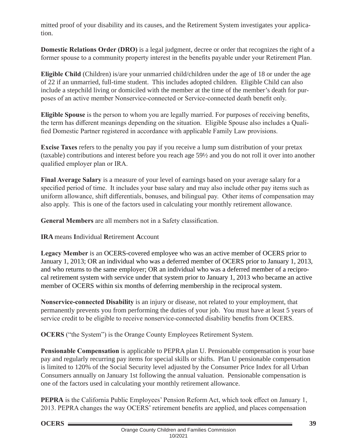<span id="page-41-0"></span>mitted proof of your disability and its causes, and the Retirement System investigates your application.

**Domestic Relations Order (DRO)** is a legal judgment, decree or order that recognizes the right of a former spouse to a community property interest in the benefits payable under your Retirement Plan.

**Eligible Child** (Children) is/are your unmarried child/children under the age of 18 or under the age of 22 if an unmarried, full-time student. This includes adopted children. Eligible Child can also include a stepchild living or domiciled with the member at the time of the member's death for purposes of an active member Nonservice-connected or Service-connected death benefit only.

**Eligible Spouse** is the person to whom you are legally married. For purposes of receiving benefits, the term has different meanings depending on the situation. Eligible Spouse also includes a Qualified Domestic Partner registered in accordance with applicable Family Law provisions.

**Excise Taxes** refers to the penalty you pay if you receive a lump sum distribution of your pretax (taxable) contributions and interest before you reach age 59½ and you do not roll it over into another qualified employer plan or IRA.

**Final Average Salary** is a measure of your level of earnings based on your average salary for a specified period of time. It includes your base salary and may also include other pay items such as uniform allowance, shift differentials, bonuses, and bilingual pay. Other items of compensation may also apply. This is one of the factors used in calculating your monthly retirement allowance.

**General Members** are all members not in a Safety classification.

**IRA** means **I**ndividual **R**etirement **A**ccount

**Legacy Member** is an OCERS-covered employee who was an active member of OCERS prior to January 1, 2013; OR an individual who was a deferred member of OCERS prior to January 1, 2013, and who returns to the same employer; OR an individual who was a deferred member of a reciprocal retirement system with service under that system prior to January 1, 2013 who became an active member of OCERS within six months of deferring membership in the reciprocal system.

**Nonservice-connected Disability** is an injury or disease, not related to your employment, that permanently prevents you from performing the duties of your job. You must have at least 5 years of service credit to be eligible to receive nonservice-connected disability benefits from OCERS.

**OCERS** ("the System") is the Orange County Employees Retirement System.

**Pensionable Compensation** is applicable to PEPRA plan U. Pensionable compensation is your base pay and regularly recurring pay items for special skills or shifts. Plan U pensionable compensation is limited to 120% of the Social Security level adjusted by the Consumer Price Index for all Urban Consumers annually on January 1st following the annual valuation. Pensionable compensation is one of the factors used in calculating your monthly retirement allowance.

**PEPRA** is the California Public Employees' Pension Reform Act, which took effect on January 1, 2013. PEPRA changes the way OCERS' retirement benefits are applied, and places compensation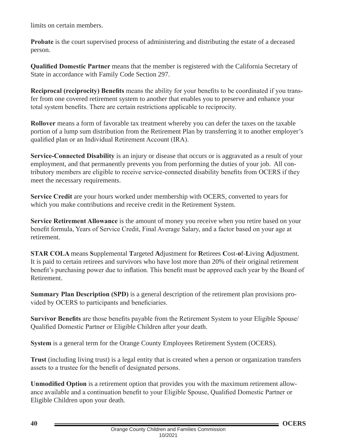limits on certain members.

**Probate** is the court supervised process of administering and distributing the estate of a deceased person.

**Qualified Domestic Partner** means that the member is registered with the California Secretary of State in accordance with Family Code Section 297.

**Reciprocal (reciprocity) Benefits** means the ability for your benefits to be coordinated if you transfer from one covered retirement system to another that enables you to preserve and enhance your total system benefits. There are certain restrictions applicable to reciprocity.

**Rollover** means a form of favorable tax treatment whereby you can defer the taxes on the taxable portion of a lump sum distribution from the Retirement Plan by transferring it to another employer's qualified plan or an Individual Retirement Account (IRA).

**Service-Connected Disability** is an injury or disease that occurs or is aggravated as a result of your employment, and that permanently prevents you from performing the duties of your job. All contributory members are eligible to receive service-connected disability benefits from OCERS if they meet the necessary requirements.

**Service Credit** are your hours worked under membership with OCERS, converted to years for which you make contributions and receive credit in the Retirement System.

**Service Retirement Allowance** is the amount of money you receive when you retire based on your benefit formula, Years of Service Credit, Final Average Salary, and a factor based on your age at retirement.

**STAR COLA** means **S**upplemental **T**argeted **A**djustment for **R**etirees **C**ost-**o**f-**L**iving **A**djustment. It is paid to certain retirees and survivors who have lost more than 20% of their original retirement benefit's purchasing power due to inflation. This benefit must be approved each year by the Board of Retirement.

**Summary Plan Description (SPD)** is a general description of the retirement plan provisions provided by OCERS to participants and beneficiaries.

**Survivor Benefits** are those benefits payable from the Retirement System to your Eligible Spouse/ Qualified Domestic Partner or Eligible Children after your death.

**System** is a general term for the Orange County Employees Retirement System (OCERS).

**Trust** (including living trust) is a legal entity that is created when a person or organization transfers assets to a trustee for the benefit of designated persons.

**Unmodified Option** is a retirement option that provides you with the maximum retirement allowance available and a continuation benefit to your Eligible Spouse, Qualified Domestic Partner or Eligible Children upon your death.

**40 OCERS**